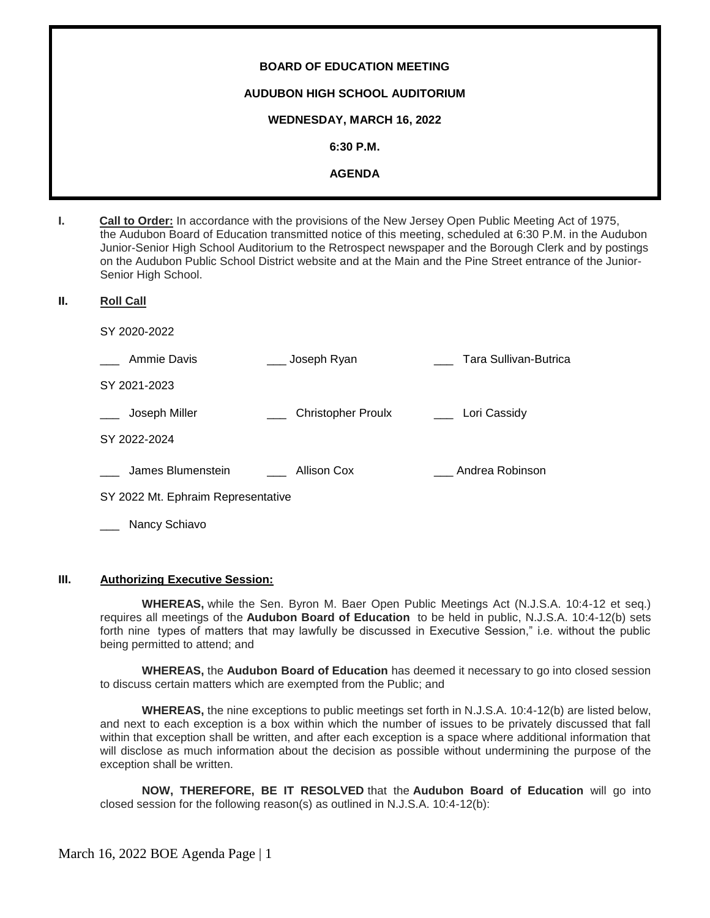# **BOARD OF EDUCATION MEETING AUDUBON HIGH SCHOOL AUDITORIUM WEDNESDAY, MARCH 16, 2022 6:30 P.M. AGENDA**

**I. Call to Order:** In accordance with the provisions of the New Jersey Open Public Meeting Act of 1975, the Audubon Board of Education transmitted notice of this meeting, scheduled at 6:30 P.M. in the Audubon Junior-Senior High School Auditorium to the Retrospect newspaper and the Borough Clerk and by postings on the Audubon Public School District website and at the Main and the Pine Street entrance of the Junior-Senior High School.

#### **II. Roll Call**

SY 2020-2022

| Ammie Davis                        | Joseph Ryan               | Tara Sullivan-Butrica |
|------------------------------------|---------------------------|-----------------------|
| SY 2021-2023                       |                           |                       |
| Joseph Miller                      | <b>Christopher Proulx</b> | Lori Cassidy          |
| SY 2022-2024                       |                           |                       |
| James Blumenstein                  | Allison Cox               | Andrea Robinson       |
| SY 2022 Mt. Ephraim Representative |                           |                       |

Nancy Schiavo

#### **III. Authorizing Executive Session:**

**WHEREAS,** while the Sen. Byron M. Baer Open Public Meetings Act (N.J.S.A. 10:4-12 et seq.) requires all meetings of the **Audubon Board of Education** to be held in public, N.J.S.A. 10:4-12(b) sets forth nine types of matters that may lawfully be discussed in Executive Session," i.e. without the public being permitted to attend; and

**WHEREAS,** the **Audubon Board of Education** has deemed it necessary to go into closed session to discuss certain matters which are exempted from the Public; and

**WHEREAS,** the nine exceptions to public meetings set forth in N.J.S.A. 10:4-12(b) are listed below, and next to each exception is a box within which the number of issues to be privately discussed that fall within that exception shall be written, and after each exception is a space where additional information that will disclose as much information about the decision as possible without undermining the purpose of the exception shall be written.

**NOW, THEREFORE, BE IT RESOLVED** that the **Audubon Board of Education** will go into closed session for the following reason(s) as outlined in N.J.S.A. 10:4-12(b):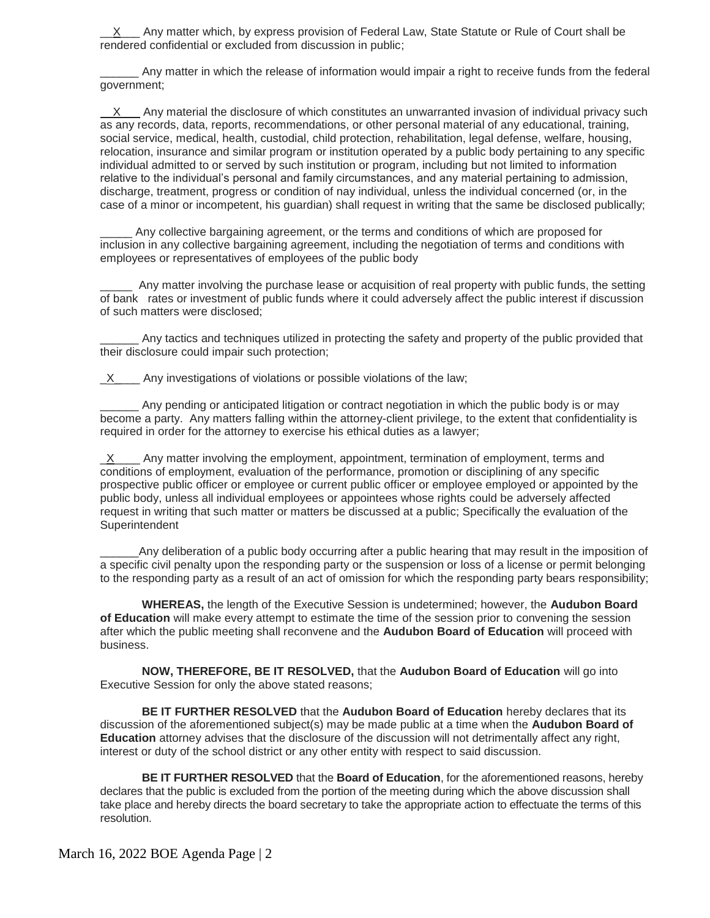X\_ Any matter which, by express provision of Federal Law, State Statute or Rule of Court shall be rendered confidential or excluded from discussion in public;

\_\_\_\_\_\_ Any matter in which the release of information would impair a right to receive funds from the federal government;

 X Any material the disclosure of which constitutes an unwarranted invasion of individual privacy such as any records, data, reports, recommendations, or other personal material of any educational, training, social service, medical, health, custodial, child protection, rehabilitation, legal defense, welfare, housing, relocation, insurance and similar program or institution operated by a public body pertaining to any specific individual admitted to or served by such institution or program, including but not limited to information relative to the individual's personal and family circumstances, and any material pertaining to admission, discharge, treatment, progress or condition of nay individual, unless the individual concerned (or, in the case of a minor or incompetent, his guardian) shall request in writing that the same be disclosed publically;

Any collective bargaining agreement, or the terms and conditions of which are proposed for inclusion in any collective bargaining agreement, including the negotiation of terms and conditions with employees or representatives of employees of the public body

Any matter involving the purchase lease or acquisition of real property with public funds, the setting of bank rates or investment of public funds where it could adversely affect the public interest if discussion of such matters were disclosed;

Any tactics and techniques utilized in protecting the safety and property of the public provided that their disclosure could impair such protection;

 $X$  Any investigations of violations or possible violations of the law;

Any pending or anticipated litigation or contract negotiation in which the public body is or may become a party. Any matters falling within the attorney-client privilege, to the extent that confidentiality is required in order for the attorney to exercise his ethical duties as a lawyer;

 $\underline{X}$  Any matter involving the employment, appointment, termination of employment, terms and conditions of employment, evaluation of the performance, promotion or disciplining of any specific prospective public officer or employee or current public officer or employee employed or appointed by the public body, unless all individual employees or appointees whose rights could be adversely affected request in writing that such matter or matters be discussed at a public; Specifically the evaluation of the Superintendent

Any deliberation of a public body occurring after a public hearing that may result in the imposition of a specific civil penalty upon the responding party or the suspension or loss of a license or permit belonging to the responding party as a result of an act of omission for which the responding party bears responsibility;

**WHEREAS,** the length of the Executive Session is undetermined; however, the **Audubon Board of Education** will make every attempt to estimate the time of the session prior to convening the session after which the public meeting shall reconvene and the **Audubon Board of Education** will proceed with business.

**NOW, THEREFORE, BE IT RESOLVED,** that the **Audubon Board of Education** will go into Executive Session for only the above stated reasons;

**BE IT FURTHER RESOLVED** that the **Audubon Board of Education** hereby declares that its discussion of the aforementioned subject(s) may be made public at a time when the **Audubon Board of Education** attorney advises that the disclosure of the discussion will not detrimentally affect any right, interest or duty of the school district or any other entity with respect to said discussion.

**BE IT FURTHER RESOLVED** that the **Board of Education**, for the aforementioned reasons, hereby declares that the public is excluded from the portion of the meeting during which the above discussion shall take place and hereby directs the board secretary to take the appropriate action to effectuate the terms of this resolution.

March 16, 2022 BOE Agenda Page | 2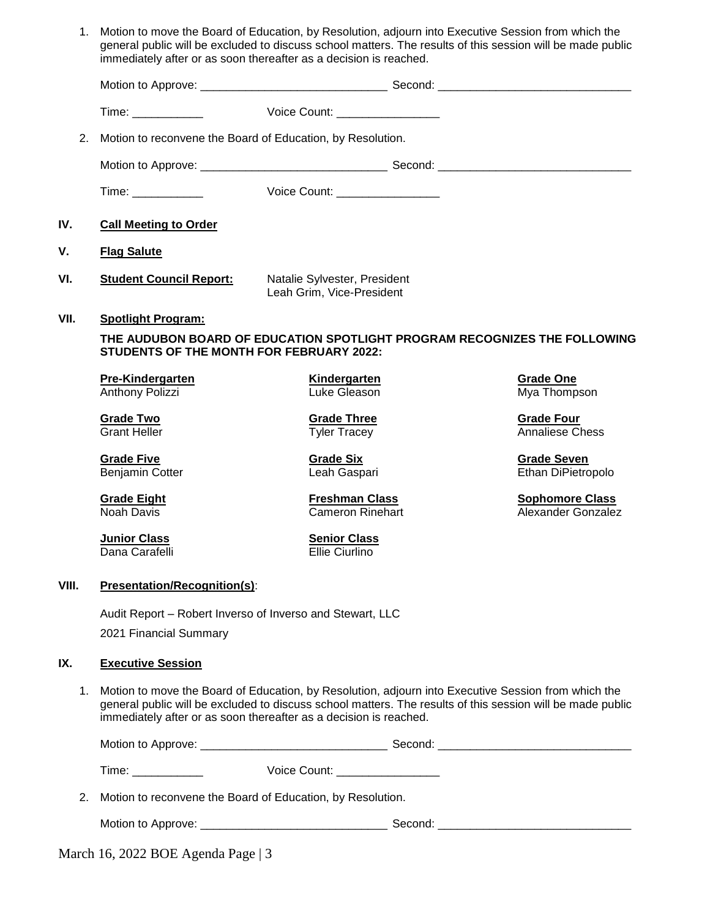|       | 1. Motion to move the Board of Education, by Resolution, adjourn into Executive Session from which the<br>immediately after or as soon thereafter as a decision is reached. |                                                           | general public will be excluded to discuss school matters. The results of this session will be made public |
|-------|-----------------------------------------------------------------------------------------------------------------------------------------------------------------------------|-----------------------------------------------------------|------------------------------------------------------------------------------------------------------------|
|       |                                                                                                                                                                             |                                                           |                                                                                                            |
|       | Time: _____________                                                                                                                                                         | Voice Count: __________________                           |                                                                                                            |
| 2.    | Motion to reconvene the Board of Education, by Resolution.                                                                                                                  |                                                           |                                                                                                            |
|       |                                                                                                                                                                             |                                                           |                                                                                                            |
|       | Time: ____________                                                                                                                                                          | Voice Count: __________________                           |                                                                                                            |
| IV.   | <b>Call Meeting to Order</b>                                                                                                                                                |                                                           |                                                                                                            |
| V.    | <b>Flag Salute</b>                                                                                                                                                          |                                                           |                                                                                                            |
| VI.   | <b>Student Council Report:</b>                                                                                                                                              | Natalie Sylvester, President<br>Leah Grim, Vice-President |                                                                                                            |
| VII.  | <b>Spotlight Program:</b>                                                                                                                                                   |                                                           |                                                                                                            |
|       | STUDENTS OF THE MONTH FOR FEBRUARY 2022:                                                                                                                                    |                                                           | THE AUDUBON BOARD OF EDUCATION SPOTLIGHT PROGRAM RECOGNIZES THE FOLLOWING                                  |
|       | Pre-Kindergarten<br>Anthony Polizzi                                                                                                                                         | <b>Kindergarten</b><br>Luke Gleason                       | <b>Grade One</b><br>Mya Thompson                                                                           |
|       | <b>Grade Two</b><br><b>Grant Heller</b>                                                                                                                                     | <b>Grade Three</b><br><b>Tyler Tracey</b>                 | <b>Grade Four</b><br><b>Annaliese Chess</b>                                                                |
|       | <b>Grade Five</b><br><b>Benjamin Cotter</b>                                                                                                                                 | <b>Grade Six</b><br>Leah Gaspari                          | <b>Grade Seven</b><br>Ethan DiPietropolo                                                                   |
|       | <b>Grade Eight</b><br>Noah Davis                                                                                                                                            | <b>Freshman Class</b><br><b>Cameron Rinehart</b>          | <b>Sophomore Class</b><br>Alexander Gonzalez                                                               |
|       | <b>Junior Class</b><br>Dana Carafelli                                                                                                                                       | <b>Senior Class</b><br>Ellie Ciurlino                     |                                                                                                            |
| VIII. | <b>Presentation/Recognition(s):</b>                                                                                                                                         |                                                           |                                                                                                            |
|       | Audit Report – Robert Inverso of Inverso and Stewart, LLC<br>2021 Financial Summary                                                                                         |                                                           |                                                                                                            |
| IX.   | <b>Executive Session</b>                                                                                                                                                    |                                                           |                                                                                                            |
| 1.    | Motion to move the Board of Education, by Resolution, adjourn into Executive Session from which the<br>immediately after or as soon thereafter as a decision is reached.    |                                                           | general public will be excluded to discuss school matters. The results of this session will be made public |
|       |                                                                                                                                                                             |                                                           |                                                                                                            |
|       |                                                                                                                                                                             |                                                           |                                                                                                            |
| 2.    | Motion to reconvene the Board of Education, by Resolution.                                                                                                                  |                                                           |                                                                                                            |
|       |                                                                                                                                                                             |                                                           |                                                                                                            |
|       | March 16, 2022 BOE Agenda Page   3                                                                                                                                          |                                                           |                                                                                                            |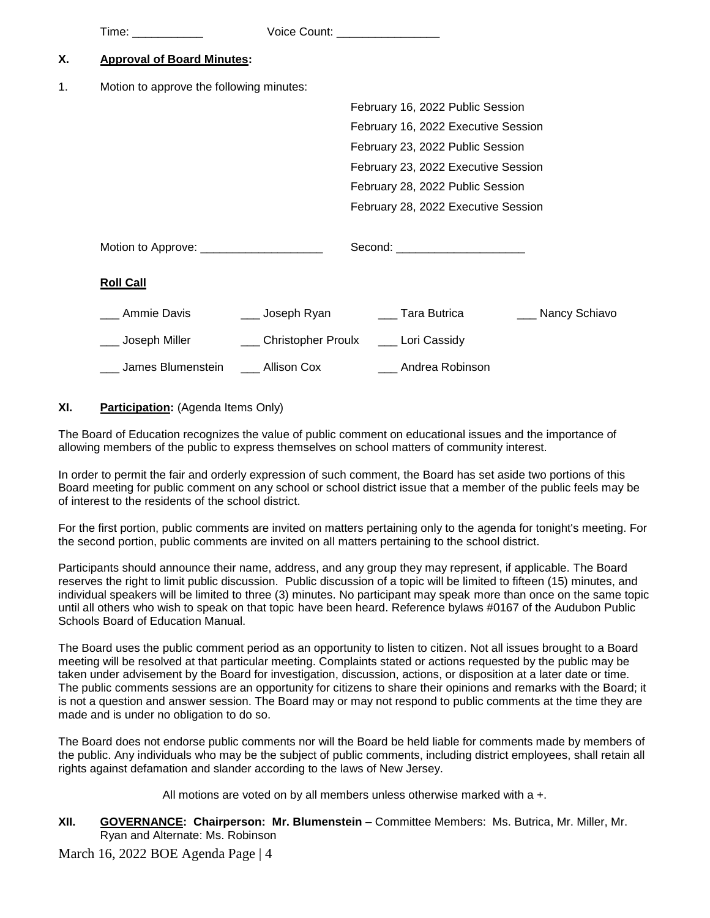|    | Time: ____________                        | Voice Count: _________________          |                                      |                   |
|----|-------------------------------------------|-----------------------------------------|--------------------------------------|-------------------|
| Х. | <b>Approval of Board Minutes:</b>         |                                         |                                      |                   |
| 1. | Motion to approve the following minutes:  |                                         |                                      |                   |
|    |                                           |                                         | February 16, 2022 Public Session     |                   |
|    |                                           |                                         | February 16, 2022 Executive Session  |                   |
|    |                                           |                                         | February 23, 2022 Public Session     |                   |
|    |                                           |                                         | February 23, 2022 Executive Session  |                   |
|    |                                           |                                         | February 28, 2022 Public Session     |                   |
|    |                                           |                                         | February 28, 2022 Executive Session  |                   |
|    | Motion to Approve: ______________________ |                                         | Second: ______________________       |                   |
|    | <b>Roll Call</b>                          |                                         |                                      |                   |
|    | __ Ammie Davis                            |                                         | ___ Joseph Ryan _______ Tara Butrica | ___ Nancy Schiavo |
|    | __ Joseph Miller                          | ___ Christopher Proulx ___ Lori Cassidy |                                      |                   |
|    | James Blumenstein [16] Allison Cox        |                                         | ___ Andrea Robinson                  |                   |

# **XI. Participation:** (Agenda Items Only)

The Board of Education recognizes the value of public comment on educational issues and the importance of allowing members of the public to express themselves on school matters of community interest.

In order to permit the fair and orderly expression of such comment, the Board has set aside two portions of this Board meeting for public comment on any school or school district issue that a member of the public feels may be of interest to the residents of the school district.

For the first portion, public comments are invited on matters pertaining only to the agenda for tonight's meeting. For the second portion, public comments are invited on all matters pertaining to the school district.

Participants should announce their name, address, and any group they may represent, if applicable. The Board reserves the right to limit public discussion. Public discussion of a topic will be limited to fifteen (15) minutes, and individual speakers will be limited to three (3) minutes. No participant may speak more than once on the same topic until all others who wish to speak on that topic have been heard. Reference bylaws #0167 of the Audubon Public Schools Board of Education Manual.

The Board uses the public comment period as an opportunity to listen to citizen. Not all issues brought to a Board meeting will be resolved at that particular meeting. Complaints stated or actions requested by the public may be taken under advisement by the Board for investigation, discussion, actions, or disposition at a later date or time. The public comments sessions are an opportunity for citizens to share their opinions and remarks with the Board; it is not a question and answer session. The Board may or may not respond to public comments at the time they are made and is under no obligation to do so.

The Board does not endorse public comments nor will the Board be held liable for comments made by members of the public. Any individuals who may be the subject of public comments, including district employees, shall retain all rights against defamation and slander according to the laws of New Jersey.

All motions are voted on by all members unless otherwise marked with a +.

**XII. GOVERNANCE: Chairperson: Mr. Blumenstein –** Committee Members: Ms. Butrica, Mr. Miller, Mr. Ryan and Alternate: Ms. Robinson

March 16, 2022 BOE Agenda Page | 4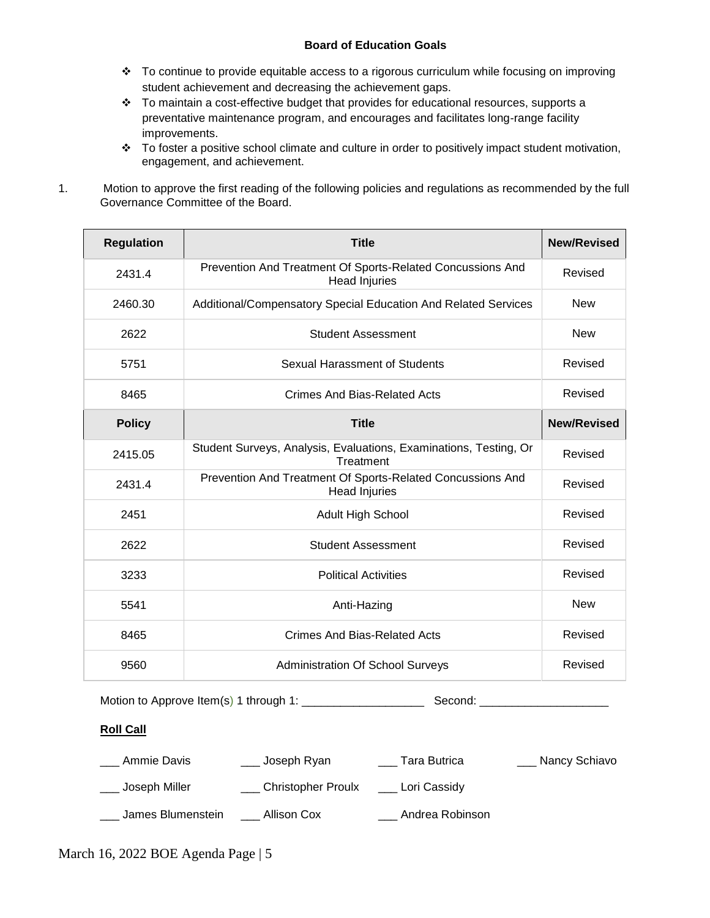# **Board of Education Goals**

- \* To continue to provide equitable access to a rigorous curriculum while focusing on improving student achievement and decreasing the achievement gaps.
- $\cdot \cdot$  To maintain a cost-effective budget that provides for educational resources, supports a preventative maintenance program, and encourages and facilitates long-range facility improvements.
- \* To foster a positive school climate and culture in order to positively impact student motivation, engagement, and achievement.
- 1. Motion to approve the first reading of the following policies and regulations as recommended by the full Governance Committee of the Board.

| <b>Regulation</b> | <b>Title</b>                                                                       | <b>New/Revised</b> |
|-------------------|------------------------------------------------------------------------------------|--------------------|
| 2431.4            | Prevention And Treatment Of Sports-Related Concussions And<br><b>Head Injuries</b> | Revised            |
| 2460.30           | Additional/Compensatory Special Education And Related Services                     | <b>New</b>         |
| 2622              | <b>Student Assessment</b>                                                          | <b>New</b>         |
| 5751              | Sexual Harassment of Students                                                      | Revised            |
| 8465              | Crimes And Bias-Related Acts                                                       | Revised            |
| <b>Policy</b>     | <b>Title</b>                                                                       | <b>New/Revised</b> |
| 2415.05           | Student Surveys, Analysis, Evaluations, Examinations, Testing, Or<br>Treatment     | Revised            |
| 2431.4            | Prevention And Treatment Of Sports-Related Concussions And<br><b>Head Injuries</b> | Revised            |
| 2451              | <b>Adult High School</b>                                                           | Revised            |
| 2622              | <b>Student Assessment</b>                                                          | Revised            |
| 3233              | <b>Political Activities</b>                                                        | Revised            |
| 5541              | Anti-Hazing                                                                        | <b>New</b>         |
| 8465              | <b>Crimes And Bias-Related Acts</b>                                                | Revised            |
| 9560              | <b>Administration Of School Surveys</b>                                            | Revised            |

Motion to Approve Item(s) 1 through 1: \_\_\_\_\_\_\_\_\_\_\_\_\_\_\_\_\_\_\_ Second: \_\_\_\_\_\_\_\_\_\_\_\_\_\_\_\_\_\_\_\_

# **Roll Call**

| Ammie Davis       | Joseph Ryan        | Tara Butrica    | Nancy Schiavo |
|-------------------|--------------------|-----------------|---------------|
| Joseph Miller     | Christopher Proulx | Lori Cassidy    |               |
| James Blumenstein | Allison Cox        | Andrea Robinson |               |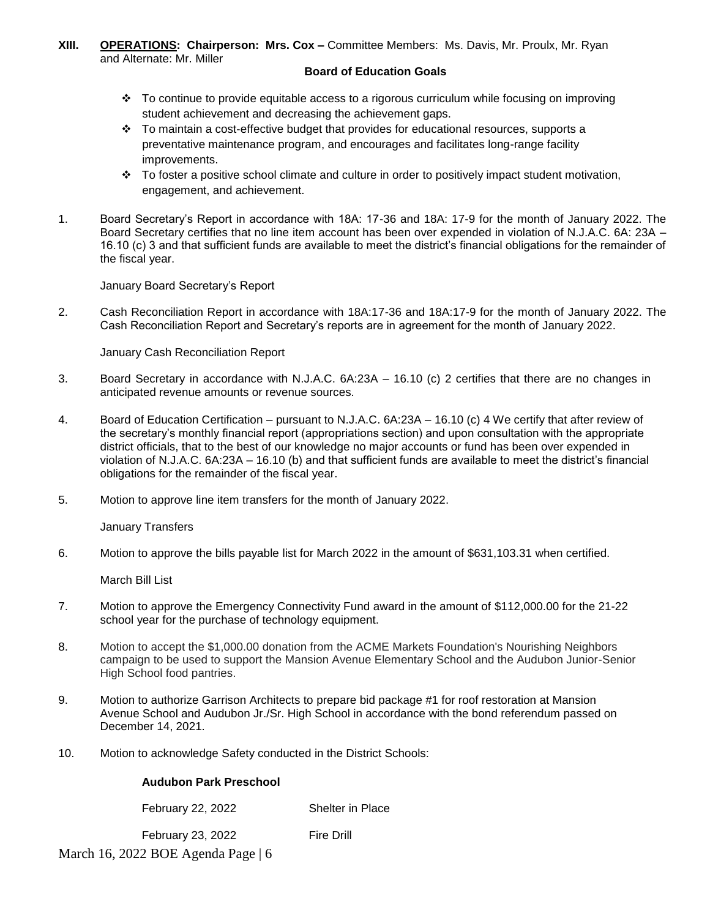#### **XIII. OPERATIONS: Chairperson: Mrs. Cox –** Committee Members: Ms. Davis, Mr. Proulx, Mr. Ryan and Alternate: Mr. Miller

## **Board of Education Goals**

- $\div$  To continue to provide equitable access to a rigorous curriculum while focusing on improving student achievement and decreasing the achievement gaps.
- $\cdot \cdot$  To maintain a cost-effective budget that provides for educational resources, supports a preventative maintenance program, and encourages and facilitates long-range facility improvements.
- $\cdot \cdot$  To foster a positive school climate and culture in order to positively impact student motivation, engagement, and achievement.
- 1. Board Secretary's Report in accordance with 18A: 17-36 and 18A: 17-9 for the month of January 2022. The Board Secretary certifies that no line item account has been over expended in violation of N.J.A.C. 6A: 23A – 16.10 (c) 3 and that sufficient funds are available to meet the district's financial obligations for the remainder of the fiscal year.

January Board Secretary's Report

2. Cash Reconciliation Report in accordance with 18A:17-36 and 18A:17-9 for the month of January 2022. The Cash Reconciliation Report and Secretary's reports are in agreement for the month of January 2022.

January Cash Reconciliation Report

- 3.Board Secretary in accordance with N.J.A.C. 6A:23A 16.10 (c) 2 certifies that there are no changes in anticipated revenue amounts or revenue sources.
- 4. Board of Education Certification pursuant to N.J.A.C. 6A:23A 16.10 (c) 4 We certify that after review of the secretary's monthly financial report (appropriations section) and upon consultation with the appropriate district officials, that to the best of our knowledge no major accounts or fund has been over expended in violation of N.J.A.C. 6A:23A – 16.10 (b) and that sufficient funds are available to meet the district's financial obligations for the remainder of the fiscal year.
- 5. Motion to approve line item transfers for the month of January 2022.

January Transfers

6. Motion to approve the bills payable list for March 2022 in the amount of \$631,103.31 when certified.

March Bill List

- 7. Motion to approve the Emergency Connectivity Fund award in the amount of \$112,000.00 for the 21-22 school year for the purchase of technology equipment.
- 8. Motion to accept the \$1,000.00 donation from the ACME Markets Foundation's Nourishing Neighbors campaign to be used to support the Mansion Avenue Elementary School and the Audubon Junior-Senior High School food pantries.
- 9. Motion to authorize Garrison Architects to prepare bid package #1 for roof restoration at Mansion Avenue School and Audubon Jr./Sr. High School in accordance with the bond referendum passed on December 14, 2021.
- 10. Motion to acknowledge Safety conducted in the District Schools:

# **Audubon Park Preschool**

| <b>February 22, 2022</b>                       | <b>Shelter in Place</b> |
|------------------------------------------------|-------------------------|
| February 23, 2022                              | Fire Drill              |
| March 16, 2022 BOE Agenda Page $\vert 6 \vert$ |                         |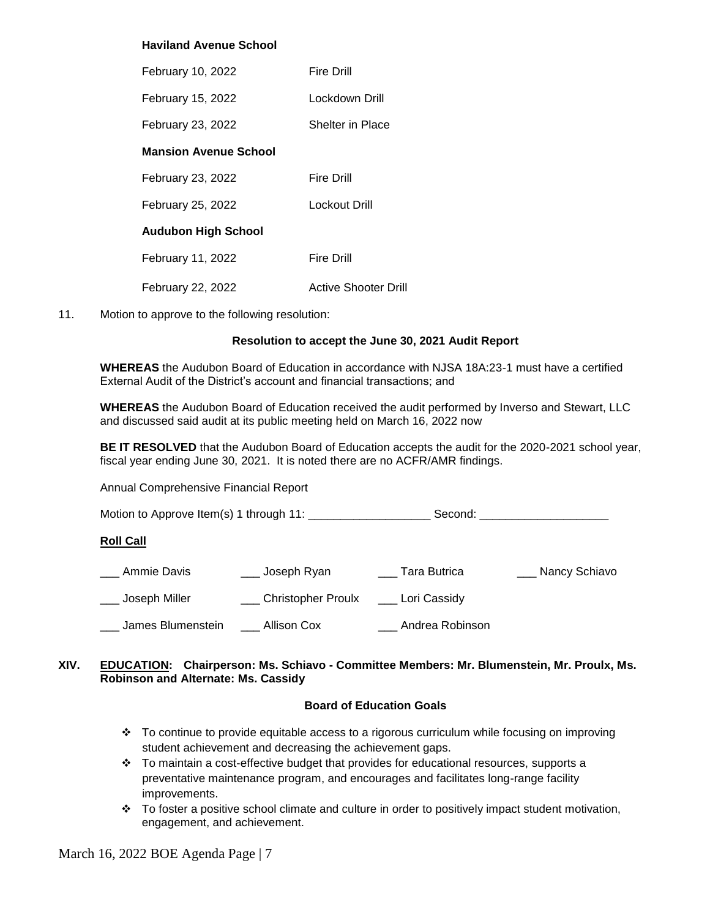# **Haviland Avenue School**

| February 10, 2022            | Fire Drill           |
|------------------------------|----------------------|
| February 15, 2022            | Lockdown Drill       |
| February 23, 2022            | Shelter in Place     |
| <b>Mansion Avenue School</b> |                      |
| February 23, 2022            | Fire Drill           |
| February 25, 2022            | Lockout Drill        |
| <b>Audubon High School</b>   |                      |
| February 11, 2022            | Fire Drill           |
| February 22, 2022            | Active Shooter Drill |

#### 11. Motion to approve to the following resolution:

#### **Resolution to accept the June 30, 2021 Audit Report**

**WHEREAS** the Audubon Board of Education in accordance with NJSA 18A:23-1 must have a certified External Audit of the District's account and financial transactions; and

**WHEREAS** the Audubon Board of Education received the audit performed by Inverso and Stewart, LLC and discussed said audit at its public meeting held on March 16, 2022 now

**BE IT RESOLVED** that the Audubon Board of Education accepts the audit for the 2020-2021 school year, fiscal year ending June 30, 2021. It is noted there are no ACFR/AMR findings.

Annual Comprehensive Financial Report

Motion to Approve Item(s) 1 through 11: \_\_\_\_\_\_\_\_\_\_\_\_\_\_\_\_\_\_\_ Second: \_\_\_\_\_\_\_\_\_\_\_\_\_\_\_\_\_\_\_\_

#### **Roll Call**

| Ammie Davis       | Joseph Ryan          | Tara Butrica    | Nancy Schiavo |
|-------------------|----------------------|-----------------|---------------|
| Joseph Miller     | _ Christopher Proulx | Lori Cassidy    |               |
| James Blumenstein | Allison Cox          | Andrea Robinson |               |

# **XIV. EDUCATION: Chairperson: Ms. Schiavo - Committee Members: Mr. Blumenstein, Mr. Proulx, Ms. Robinson and Alternate: Ms. Cassidy**

#### **Board of Education Goals**

- To continue to provide equitable access to a rigorous curriculum while focusing on improving student achievement and decreasing the achievement gaps.
- $\div$  To maintain a cost-effective budget that provides for educational resources, supports a preventative maintenance program, and encourages and facilitates long-range facility improvements.
- \* To foster a positive school climate and culture in order to positively impact student motivation, engagement, and achievement.

March 16, 2022 BOE Agenda Page | 7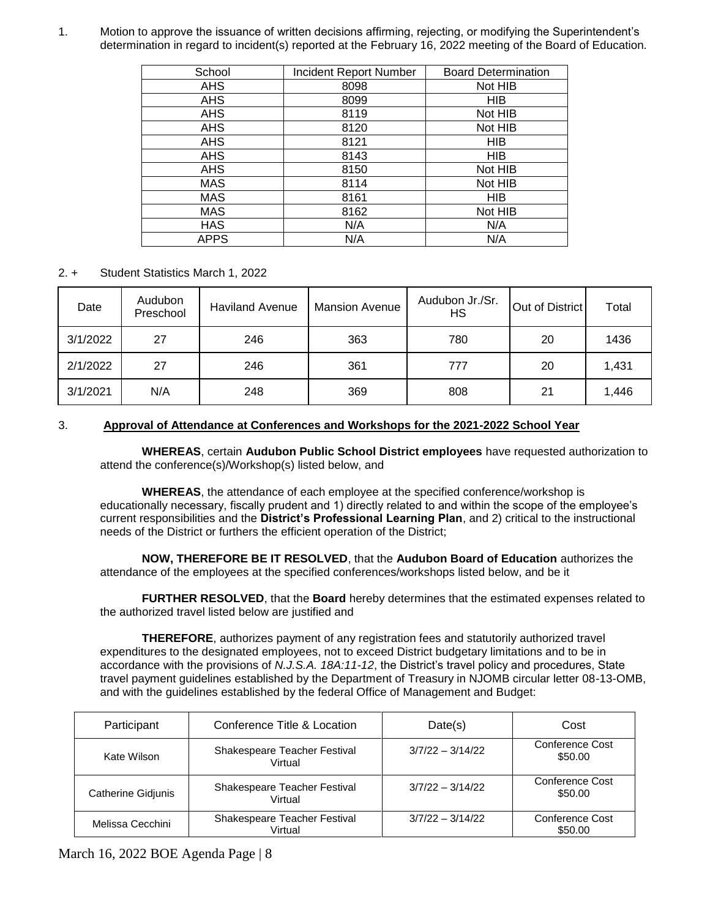1. Motion to approve the issuance of written decisions affirming, rejecting, or modifying the Superintendent's determination in regard to incident(s) reported at the February 16, 2022 meeting of the Board of Education.

| School      | <b>Incident Report Number</b> | <b>Board Determination</b> |
|-------------|-------------------------------|----------------------------|
| <b>AHS</b>  | 8098                          | Not HIB                    |
| <b>AHS</b>  | 8099                          | <b>HIB</b>                 |
| <b>AHS</b>  | 8119                          | Not HIB                    |
| <b>AHS</b>  | 8120                          | Not HIB                    |
| AHS         | 8121                          | <b>HIB</b>                 |
| <b>AHS</b>  | 8143                          | <b>HIB</b>                 |
| <b>AHS</b>  | 8150                          | Not HIB                    |
| <b>MAS</b>  | 8114                          | Not HIB                    |
| <b>MAS</b>  | 8161                          | <b>HIB</b>                 |
| <b>MAS</b>  | 8162                          | Not HIB                    |
| <b>HAS</b>  | N/A                           | N/A                        |
| <b>APPS</b> | N/A                           | N/A                        |

2. + Student Statistics March 1, 2022

| Date     | Audubon<br>Preschool | <b>Haviland Avenue</b> | <b>Mansion Avenue</b> | Audubon Jr./Sr.<br>HS | Out of District | Total |
|----------|----------------------|------------------------|-----------------------|-----------------------|-----------------|-------|
| 3/1/2022 | 27                   | 246                    | 363                   | 780                   | 20              | 1436  |
| 2/1/2022 | 27                   | 246                    | 361                   | 777                   | 20              | 1,431 |
| 3/1/2021 | N/A                  | 248                    | 369                   | 808                   | 21              | 1,446 |

# 3. **Approval of Attendance at Conferences and Workshops for the 2021-2022 School Year**

 **WHEREAS**, certain **Audubon Public School District employees** have requested authorization to attend the conference(s)/Workshop(s) listed below, and

**WHEREAS**, the attendance of each employee at the specified conference/workshop is educationally necessary, fiscally prudent and 1) directly related to and within the scope of the employee's current responsibilities and the **District's Professional Learning Plan**, and 2) critical to the instructional needs of the District or furthers the efficient operation of the District;

**NOW, THEREFORE BE IT RESOLVED**, that the **Audubon Board of Education** authorizes the attendance of the employees at the specified conferences/workshops listed below, and be it

**FURTHER RESOLVED**, that the **Board** hereby determines that the estimated expenses related to the authorized travel listed below are justified and

**THEREFORE**, authorizes payment of any registration fees and statutorily authorized travel expenditures to the designated employees, not to exceed District budgetary limitations and to be in accordance with the provisions of *N.J.S.A. 18A:11-12*, the District's travel policy and procedures, State travel payment guidelines established by the Department of Treasury in NJOMB circular letter 08-13-OMB, and with the guidelines established by the federal Office of Management and Budget:

| Participant               | Conference Title & Location             | Date(s)            | Cost                       |
|---------------------------|-----------------------------------------|--------------------|----------------------------|
| Kate Wilson               | Shakespeare Teacher Festival<br>Virtual | $3/7/22 - 3/14/22$ | Conference Cost<br>\$50.00 |
| <b>Catherine Gidjunis</b> | Shakespeare Teacher Festival<br>Virtual | $3/7/22 - 3/14/22$ | Conference Cost<br>\$50.00 |
| Melissa Cecchini          | Shakespeare Teacher Festival<br>Virtual | $3/7/22 - 3/14/22$ | Conference Cost<br>\$50.00 |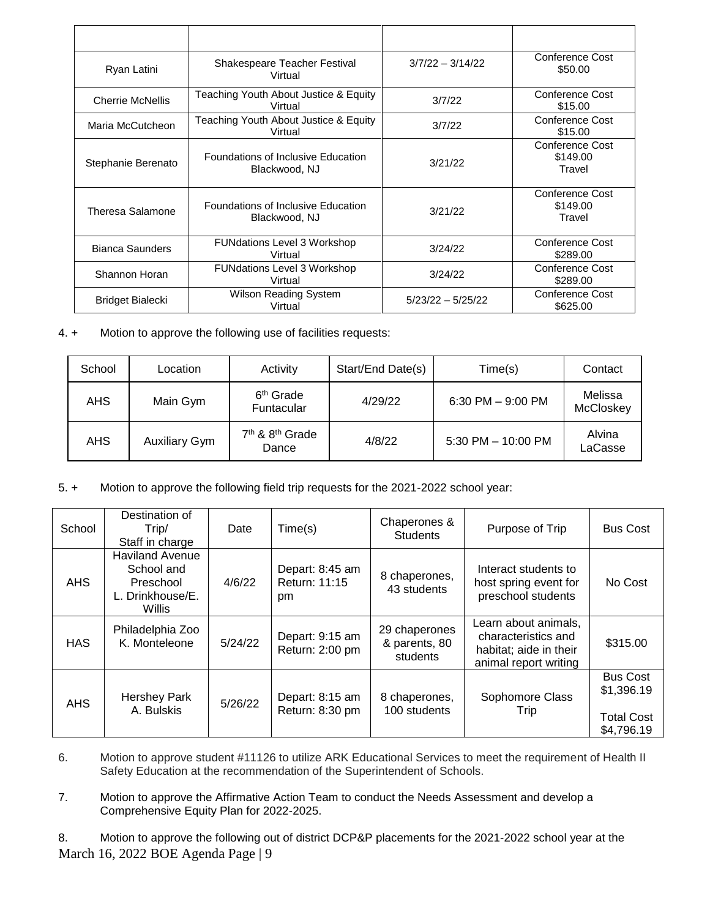| Ryan Latini             | Shakespeare Teacher Festival<br>Virtual             | $3/7/22 - 3/14/22$  | Conference Cost<br>\$50.00            |
|-------------------------|-----------------------------------------------------|---------------------|---------------------------------------|
| <b>Cherrie McNellis</b> | Teaching Youth About Justice & Equity<br>Virtual    | 3/7/22              | Conference Cost<br>\$15.00            |
| Maria McCutcheon        | Teaching Youth About Justice & Equity<br>Virtual    | 3/7/22              | Conference Cost<br>\$15.00            |
| Stephanie Berenato      | Foundations of Inclusive Education<br>Blackwood, NJ | 3/21/22             | Conference Cost<br>\$149.00<br>Travel |
| Theresa Salamone        | Foundations of Inclusive Education<br>Blackwood, NJ | 3/21/22             | Conference Cost<br>\$149.00<br>Travel |
| <b>Bianca Saunders</b>  | <b>FUNdations Level 3 Workshop</b><br>Virtual       | 3/24/22             | Conference Cost<br>\$289.00           |
| Shannon Horan           | <b>FUNdations Level 3 Workshop</b><br>Virtual       | 3/24/22             | Conference Cost<br>\$289.00           |
| Bridget Bialecki        | Wilson Reading System<br>Virtual                    | $5/23/22 - 5/25/22$ | <b>Conference Cost</b><br>\$625.00    |

4. + Motion to approve the following use of facilities requests:

| School | Location             | Activity                                         | Start/End Date(s) | Time(s)              | Contact              |
|--------|----------------------|--------------------------------------------------|-------------------|----------------------|----------------------|
| AHS    | Main Gym             | 6 <sup>th</sup> Grade<br>Funtacular              | 4/29/22           | 6:30 PM $-$ 9:00 PM  | Melissa<br>McCloskey |
| AHS    | <b>Auxiliary Gym</b> | 7 <sup>th</sup> & 8 <sup>th</sup> Grade<br>Dance | 4/8/22            | 5:30 PM $-$ 10:00 PM | Alvina<br>LaCasse    |

5. + Motion to approve the following field trip requests for the 2021-2022 school year:

| School     | Destination of<br>Trip/<br>Staff in charge                                      | Date    | Time(s)                                | Chaperones &<br><b>Students</b>            | Purpose of Trip                                                                                | <b>Bus Cost</b>                                                  |
|------------|---------------------------------------------------------------------------------|---------|----------------------------------------|--------------------------------------------|------------------------------------------------------------------------------------------------|------------------------------------------------------------------|
| <b>AHS</b> | <b>Haviland Avenue</b><br>School and<br>Preschool<br>L. Drinkhouse/E.<br>Willis | 4/6/22  | Depart: 8:45 am<br>Return: 11:15<br>pm | 8 chaperones,<br>43 students               | Interact students to<br>host spring event for<br>preschool students                            | No Cost                                                          |
| <b>HAS</b> | Philadelphia Zoo<br>K. Monteleone                                               | 5/24/22 | Depart: 9:15 am<br>Return: 2:00 pm     | 29 chaperones<br>& parents, 80<br>students | Learn about animals,<br>characteristics and<br>habitat; aide in their<br>animal report writing | \$315.00                                                         |
| <b>AHS</b> | <b>Hershey Park</b><br>A. Bulskis                                               | 5/26/22 | Depart: 8:15 am<br>Return: 8:30 pm     | 8 chaperones,<br>100 students              | Sophomore Class<br>Trip                                                                        | <b>Bus Cost</b><br>\$1,396.19<br><b>Total Cost</b><br>\$4,796.19 |

- 6. Motion to approve student #11126 to utilize ARK Educational Services to meet the requirement of Health II Safety Education at the recommendation of the Superintendent of Schools.
- 7. Motion to approve the Affirmative Action Team to conduct the Needs Assessment and develop a Comprehensive Equity Plan for 2022-2025.

March 16, 2022 BOE Agenda Page | 9 8. Motion to approve the following out of district DCP&P placements for the 2021-2022 school year at the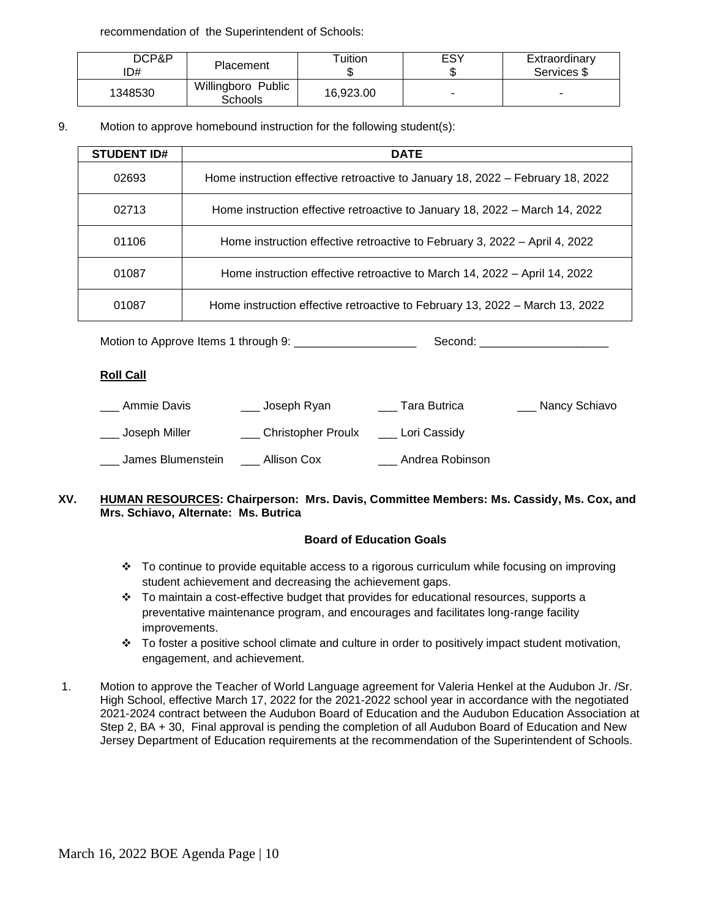recommendation of the Superintendent of Schools:

| DCP&P<br>D# | <b>Placement</b>                     | Tuition   | ESY                      | Extraordinary<br>Services \$ |
|-------------|--------------------------------------|-----------|--------------------------|------------------------------|
| 1348530     | Willingboro Public<br><b>Schools</b> | 16,923.00 | $\overline{\phantom{0}}$ | $\overline{\phantom{0}}$     |

9. Motion to approve homebound instruction for the following student(s):

| <b>STUDENT ID#</b> | <b>DATE</b>                                                                    |
|--------------------|--------------------------------------------------------------------------------|
| 02693              | Home instruction effective retroactive to January 18, 2022 – February 18, 2022 |
| 02713              | Home instruction effective retroactive to January 18, 2022 – March 14, 2022    |
| 01106              | Home instruction effective retroactive to February 3, 2022 – April 4, 2022     |
| 01087              | Home instruction effective retroactive to March 14, 2022 – April 14, 2022      |
| 01087              | Home instruction effective retroactive to February 13, 2022 – March 13, 2022   |

Motion to Approve Items 1 through 9: \_\_\_\_\_\_\_\_\_\_\_\_\_\_\_\_\_\_\_ Second: \_\_\_\_\_\_\_\_\_\_\_\_\_\_\_\_\_\_\_\_

## **Roll Call**

| Ammie Davis       | Joseph Ryan        | Tara Butrica    | __ Nancy Schiavo |
|-------------------|--------------------|-----------------|------------------|
| Joseph Miller     | Christopher Proulx | Lori Cassidy    |                  |
| James Blumenstein | Allison Cox        | Andrea Robinson |                  |

## **XV. HUMAN RESOURCES: Chairperson: Mrs. Davis, Committee Members: Ms. Cassidy, Ms. Cox, and Mrs. Schiavo, Alternate: Ms. Butrica**

# **Board of Education Goals**

- To continue to provide equitable access to a rigorous curriculum while focusing on improving student achievement and decreasing the achievement gaps.
- $\cdot \cdot$  To maintain a cost-effective budget that provides for educational resources, supports a preventative maintenance program, and encourages and facilitates long-range facility improvements.
- To foster a positive school climate and culture in order to positively impact student motivation, engagement, and achievement.
- 1. Motion to approve the Teacher of World Language agreement for Valeria Henkel at the Audubon Jr. /Sr. High School, effective March 17, 2022 for the 2021-2022 school year in accordance with the negotiated 2021-2024 contract between the Audubon Board of Education and the Audubon Education Association at Step 2, BA + 30, Final approval is pending the completion of all Audubon Board of Education and New Jersey Department of Education requirements at the recommendation of the Superintendent of Schools.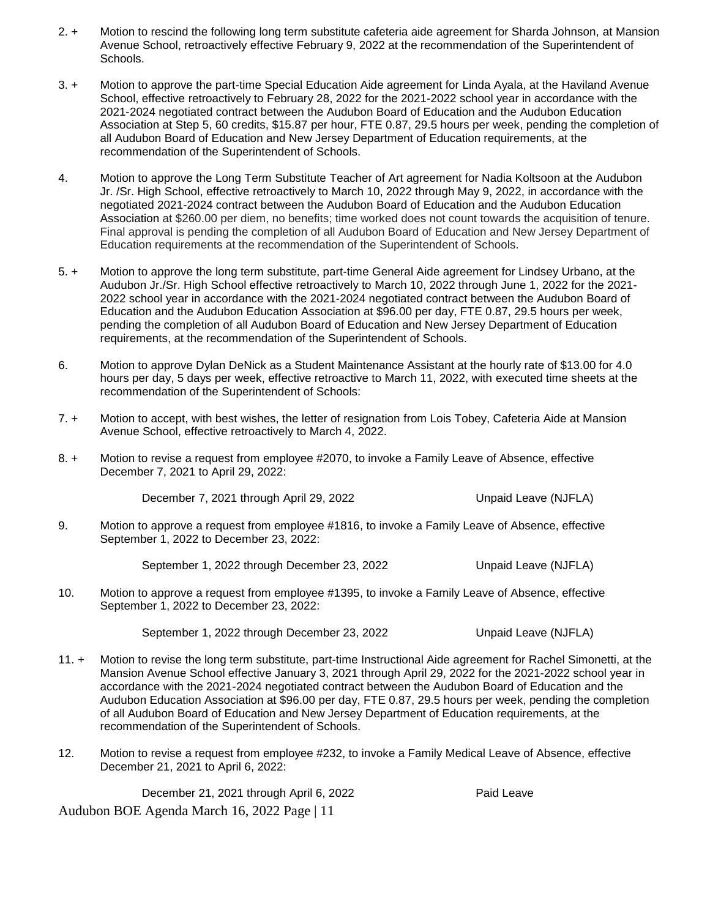- 2. + Motion to rescind the following long term substitute cafeteria aide agreement for Sharda Johnson, at Mansion Avenue School, retroactively effective February 9, 2022 at the recommendation of the Superintendent of Schools.
- 3. + Motion to approve the part-time Special Education Aide agreement for Linda Ayala, at the Haviland Avenue School, effective retroactively to February 28, 2022 for the 2021-2022 school year in accordance with the 2021-2024 negotiated contract between the Audubon Board of Education and the Audubon Education Association at Step 5, 60 credits, \$15.87 per hour, FTE 0.87, 29.5 hours per week, pending the completion of all Audubon Board of Education and New Jersey Department of Education requirements, at the recommendation of the Superintendent of Schools.
- 4. Motion to approve the Long Term Substitute Teacher of Art agreement for Nadia Koltsoon at the Audubon Jr. /Sr. High School, effective retroactively to March 10, 2022 through May 9, 2022, in accordance with the negotiated 2021-2024 contract between the Audubon Board of Education and the Audubon Education Association at \$260.00 per diem, no benefits; time worked does not count towards the acquisition of tenure. Final approval is pending the completion of all Audubon Board of Education and New Jersey Department of Education requirements at the recommendation of the Superintendent of Schools.
- 5. + Motion to approve the long term substitute, part-time General Aide agreement for Lindsey Urbano, at the Audubon Jr./Sr. High School effective retroactively to March 10, 2022 through June 1, 2022 for the 2021- 2022 school year in accordance with the 2021-2024 negotiated contract between the Audubon Board of Education and the Audubon Education Association at \$96.00 per day, FTE 0.87, 29.5 hours per week, pending the completion of all Audubon Board of Education and New Jersey Department of Education requirements, at the recommendation of the Superintendent of Schools.
- 6. Motion to approve Dylan DeNick as a Student Maintenance Assistant at the hourly rate of \$13.00 for 4.0 hours per day, 5 days per week, effective retroactive to March 11, 2022, with executed time sheets at the recommendation of the Superintendent of Schools:
- 7. + Motion to accept, with best wishes, the letter of resignation from Lois Tobey, Cafeteria Aide at Mansion Avenue School, effective retroactively to March 4, 2022.
- 8. + Motion to revise a request from employee #2070, to invoke a Family Leave of Absence, effective December 7, 2021 to April 29, 2022:

December 7, 2021 through April 29, 2022 Unpaid Leave (NJFLA)

9. Motion to approve a request from employee #1816, to invoke a Family Leave of Absence, effective September 1, 2022 to December 23, 2022:

September 1, 2022 through December 23, 2022 Unpaid Leave (NJFLA)

10. Motion to approve a request from employee #1395, to invoke a Family Leave of Absence, effective September 1, 2022 to December 23, 2022:

September 1, 2022 through December 23, 2022 Unpaid Leave (NJFLA)

- 
- 11. + Motion to revise the long term substitute, part-time Instructional Aide agreement for Rachel Simonetti, at the Mansion Avenue School effective January 3, 2021 through April 29, 2022 for the 2021-2022 school year in accordance with the 2021-2024 negotiated contract between the Audubon Board of Education and the Audubon Education Association at \$96.00 per day, FTE 0.87, 29.5 hours per week, pending the completion of all Audubon Board of Education and New Jersey Department of Education requirements, at the recommendation of the Superintendent of Schools.
- 12. Motion to revise a request from employee #232, to invoke a Family Medical Leave of Absence, effective December 21, 2021 to April 6, 2022:

Audubon BOE Agenda March 16, 2022 Page | 11 December 21, 2021 through April 6, 2022 Paid Leave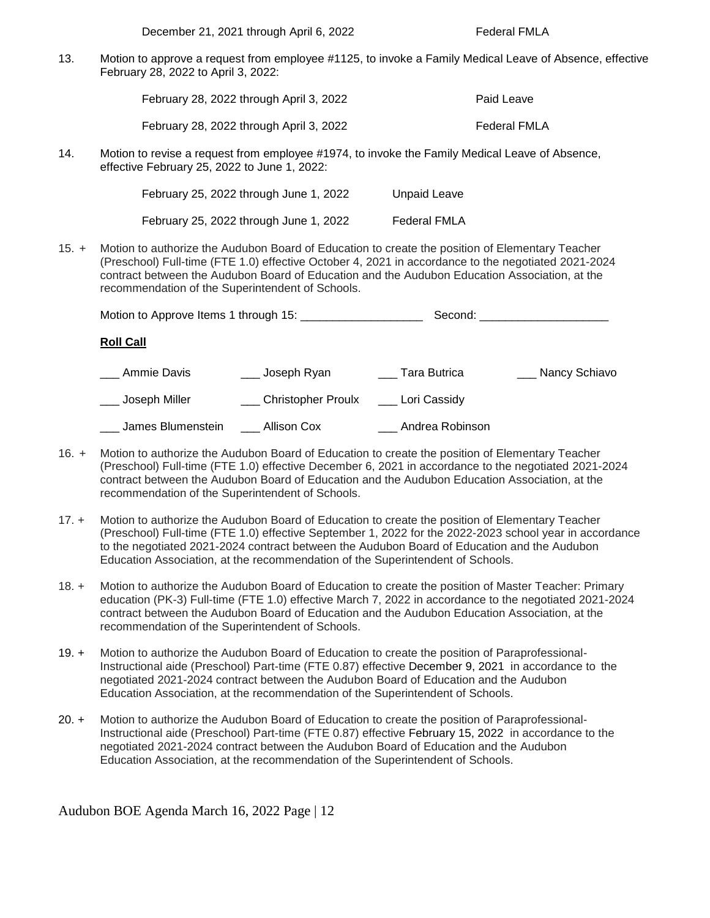December 21, 2021 through April 6, 2022 Federal FMLA

13. Motion to approve a request from employee #1125, to invoke a Family Medical Leave of Absence, effective February 28, 2022 to April 3, 2022:

| February 28, 2022 through April 3, 2022 | Paid Leave   |
|-----------------------------------------|--------------|
| February 28, 2022 through April 3, 2022 | Federal FMLA |

14. Motion to revise a request from employee #1974, to invoke the Family Medical Leave of Absence, effective February 25, 2022 to June 1, 2022:

| February 25, 2022 through June 1, 2022 | Unpaid Leave |
|----------------------------------------|--------------|
| February 25, 2022 through June 1, 2022 | Federal FMLA |

15. + Motion to authorize the Audubon Board of Education to create the position of Elementary Teacher (Preschool) Full-time (FTE 1.0) effective October 4, 2021 in accordance to the negotiated 2021-2024 contract between the Audubon Board of Education and the Audubon Education Association, at the recommendation of the Superintendent of Schools.

|                   |                        |                 | Second: _______________________ |
|-------------------|------------------------|-----------------|---------------------------------|
| <b>Roll Call</b>  |                        |                 |                                 |
| Ammie Davis       | ___ Joseph Ryan        | Tara Butrica    | Nancy Schiavo                   |
| Joseph Miller     | ___ Christopher Proulx | Lori Cassidy    |                                 |
| James Blumenstein | Allison Cox            | Andrea Robinson |                                 |

- 16. + Motion to authorize the Audubon Board of Education to create the position of Elementary Teacher (Preschool) Full-time (FTE 1.0) effective December 6, 2021 in accordance to the negotiated 2021-2024 contract between the Audubon Board of Education and the Audubon Education Association, at the recommendation of the Superintendent of Schools.
- 17. + Motion to authorize the Audubon Board of Education to create the position of Elementary Teacher (Preschool) Full-time (FTE 1.0) effective September 1, 2022 for the 2022-2023 school year in accordance to the negotiated 2021-2024 contract between the Audubon Board of Education and the Audubon Education Association, at the recommendation of the Superintendent of Schools.
- 18. + Motion to authorize the Audubon Board of Education to create the position of Master Teacher: Primary education (PK-3) Full-time (FTE 1.0) effective March 7, 2022 in accordance to the negotiated 2021-2024 contract between the Audubon Board of Education and the Audubon Education Association, at the recommendation of the Superintendent of Schools.
- 19. + Motion to authorize the Audubon Board of Education to create the position of Paraprofessional-Instructional aide (Preschool) Part-time (FTE 0.87) effective December 9, 2021 in accordance to the negotiated 2021-2024 contract between the Audubon Board of Education and the Audubon Education Association, at the recommendation of the Superintendent of Schools.
- 20. + Motion to authorize the Audubon Board of Education to create the position of Paraprofessional-Instructional aide (Preschool) Part-time (FTE 0.87) effective February 15, 2022 in accordance to the negotiated 2021-2024 contract between the Audubon Board of Education and the Audubon Education Association, at the recommendation of the Superintendent of Schools.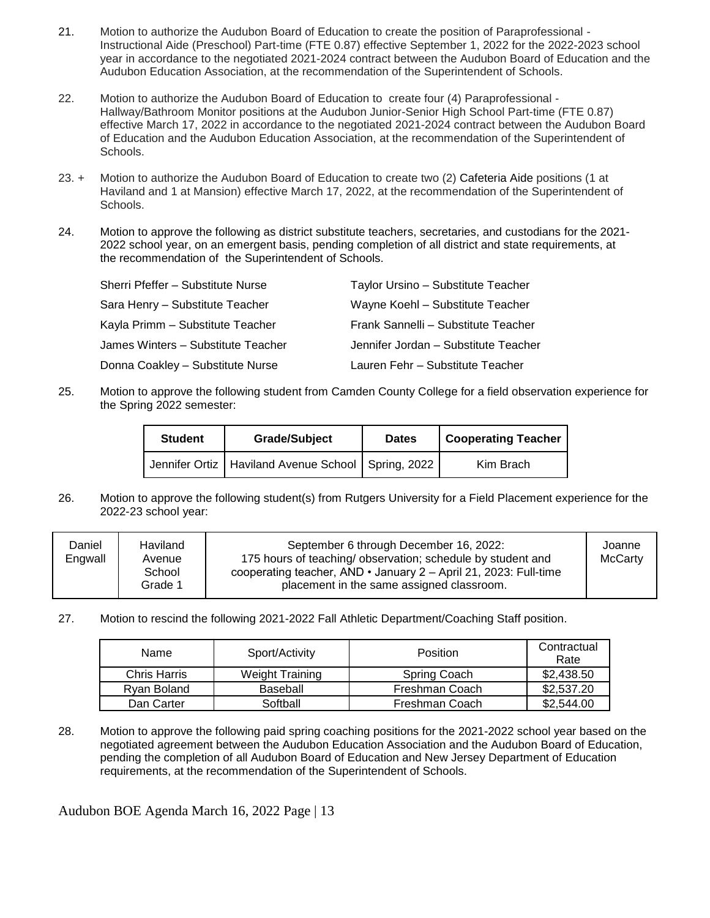- 21. Motion to authorize the Audubon Board of Education to create the position of Paraprofessional Instructional Aide (Preschool) Part-time (FTE 0.87) effective September 1, 2022 for the 2022-2023 school year in accordance to the negotiated 2021-2024 contract between the Audubon Board of Education and the Audubon Education Association, at the recommendation of the Superintendent of Schools.
- 22. Motion to authorize the Audubon Board of Education to create four (4) Paraprofessional Hallway/Bathroom Monitor positions at the Audubon Junior-Senior High School Part-time (FTE 0.87) effective March 17, 2022 in accordance to the negotiated 2021-2024 contract between the Audubon Board of Education and the Audubon Education Association, at the recommendation of the Superintendent of Schools.
- 23. + Motion to authorize the Audubon Board of Education to create two (2) Cafeteria Aide positions (1 at Haviland and 1 at Mansion) effective March 17, 2022, at the recommendation of the Superintendent of Schools.
- 24. Motion to approve the following as district substitute teachers, secretaries, and custodians for the 2021- 2022 school year, on an emergent basis, pending completion of all district and state requirements, at the recommendation of the Superintendent of Schools.

| Sherri Pfeffer - Substitute Nurse  | Taylor Ursino - Substitute Teacher   |
|------------------------------------|--------------------------------------|
| Sara Henry - Substitute Teacher    | Wayne Koehl - Substitute Teacher     |
| Kayla Primm - Substitute Teacher   | Frank Sannelli - Substitute Teacher  |
| James Winters - Substitute Teacher | Jennifer Jordan - Substitute Teacher |
| Donna Coakley - Substitute Nurse   | Lauren Fehr - Substitute Teacher     |

25. Motion to approve the following student from Camden County College for a field observation experience for the Spring 2022 semester:

| <b>Student</b> | <b>Grade/Subject</b>                                   | <b>Dates</b> | <b>Cooperating Teacher</b> |
|----------------|--------------------------------------------------------|--------------|----------------------------|
|                | Jennifer Ortiz   Haviland Avenue School   Spring, 2022 |              | Kim Brach                  |

26. Motion to approve the following student(s) from Rutgers University for a Field Placement experience for the 2022-23 school year:

| Daniel<br>Engwall | Haviland<br>Avenue<br>School<br>Grade 1 | September 6 through December 16, 2022:<br>175 hours of teaching/ observation; schedule by student and<br>cooperating teacher, AND $\cdot$ January 2 – April 21, 2023: Full-time<br>placement in the same assigned classroom. | Joanne<br><b>McCarty</b> |
|-------------------|-----------------------------------------|------------------------------------------------------------------------------------------------------------------------------------------------------------------------------------------------------------------------------|--------------------------|
|-------------------|-----------------------------------------|------------------------------------------------------------------------------------------------------------------------------------------------------------------------------------------------------------------------------|--------------------------|

27. Motion to rescind the following 2021-2022 Fall Athletic Department/Coaching Staff position.

| Name         | Sport/Activity         | Position       | Contractual<br>Rate |
|--------------|------------------------|----------------|---------------------|
| Chris Harris | <b>Weight Training</b> | Spring Coach   | \$2,438.50          |
| Rvan Boland  | Baseball               | Freshman Coach | \$2,537.20          |
| Dan Carter   | Softball               | Freshman Coach | \$2,544.00          |

28. Motion to approve the following paid spring coaching positions for the 2021-2022 school year based on the negotiated agreement between the Audubon Education Association and the Audubon Board of Education, pending the completion of all Audubon Board of Education and New Jersey Department of Education requirements, at the recommendation of the Superintendent of Schools.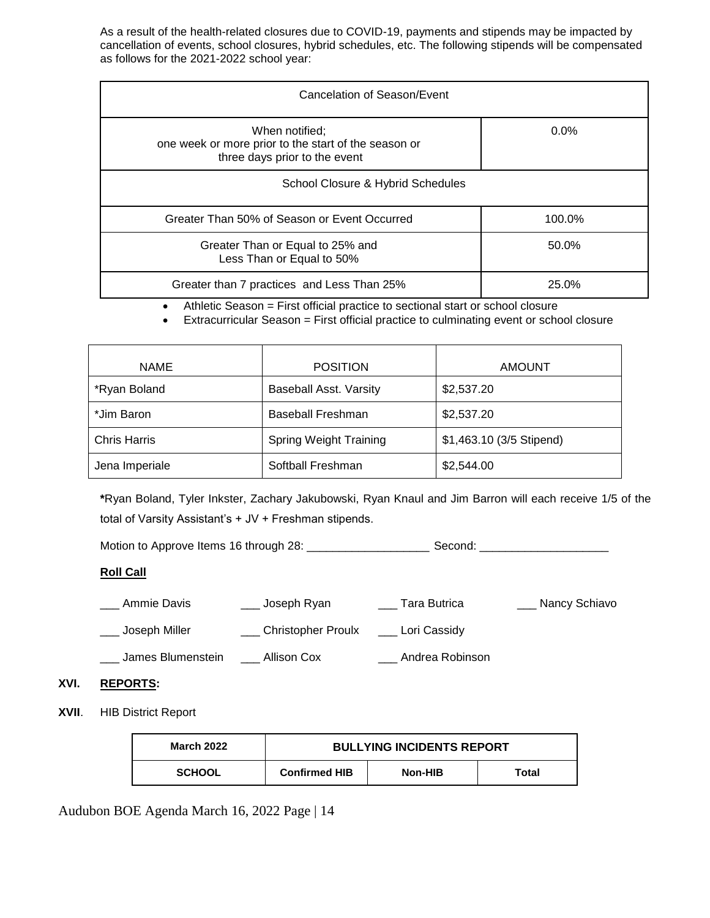As a result of the health-related closures due to COVID-19, payments and stipends may be impacted by cancellation of events, school closures, hybrid schedules, etc. The following stipends will be compensated as follows for the 2021-2022 school year:

| Cancelation of Season/Event                                                                             |         |  |  |
|---------------------------------------------------------------------------------------------------------|---------|--|--|
| When notified;<br>one week or more prior to the start of the season or<br>three days prior to the event | $0.0\%$ |  |  |
| School Closure & Hybrid Schedules                                                                       |         |  |  |
| Greater Than 50% of Season or Event Occurred                                                            | 100.0%  |  |  |
| Greater Than or Equal to 25% and<br>Less Than or Equal to 50%                                           | 50.0%   |  |  |
| Greater than 7 practices and Less Than 25%                                                              | 25.0%   |  |  |

Athletic Season = First official practice to sectional start or school closure

Extracurricular Season = First official practice to culminating event or school closure

| <b>NAME</b>         | <b>POSITION</b>               | <b>AMOUNT</b>            |
|---------------------|-------------------------------|--------------------------|
| *Ryan Boland        | <b>Baseball Asst. Varsity</b> | \$2,537.20               |
| *Jim Baron          | <b>Baseball Freshman</b>      | \$2,537.20               |
| <b>Chris Harris</b> | <b>Spring Weight Training</b> | \$1,463.10 (3/5 Stipend) |
| Jena Imperiale      | Softball Freshman             | \$2,544.00               |

**\***Ryan Boland, Tyler Inkster, Zachary Jakubowski, Ryan Knaul and Jim Barron will each receive 1/5 of the total of Varsity Assistant's + JV + Freshman stipends.

Motion to Approve Items 16 through 28: \_\_\_\_\_\_\_\_\_\_\_\_\_\_\_\_\_\_\_ Second: \_\_\_\_\_\_\_\_\_\_\_\_\_\_\_\_\_\_\_\_

# **Roll Call**

- \_\_\_ Ammie Davis \_\_\_\_\_\_\_\_\_\_ Joseph Ryan \_\_\_\_\_\_\_\_ Tara Butrica \_\_\_\_\_\_\_\_\_\_\_ Nancy Schiavo
- Loseph Miller **Christopher Proulx** Lori Cassidy
- \_\_\_ James Blumenstein \_\_\_ Allison Cox \_\_\_ Andrea Robinson

## **XVI. REPORTS:**

**XVII**. HIB District Report

| <b>March 2022</b> | <b>BULLYING INCIDENTS REPORT</b> |         |       |
|-------------------|----------------------------------|---------|-------|
| <b>SCHOOL</b>     | <b>Confirmed HIB</b>             | Non-HIB | Total |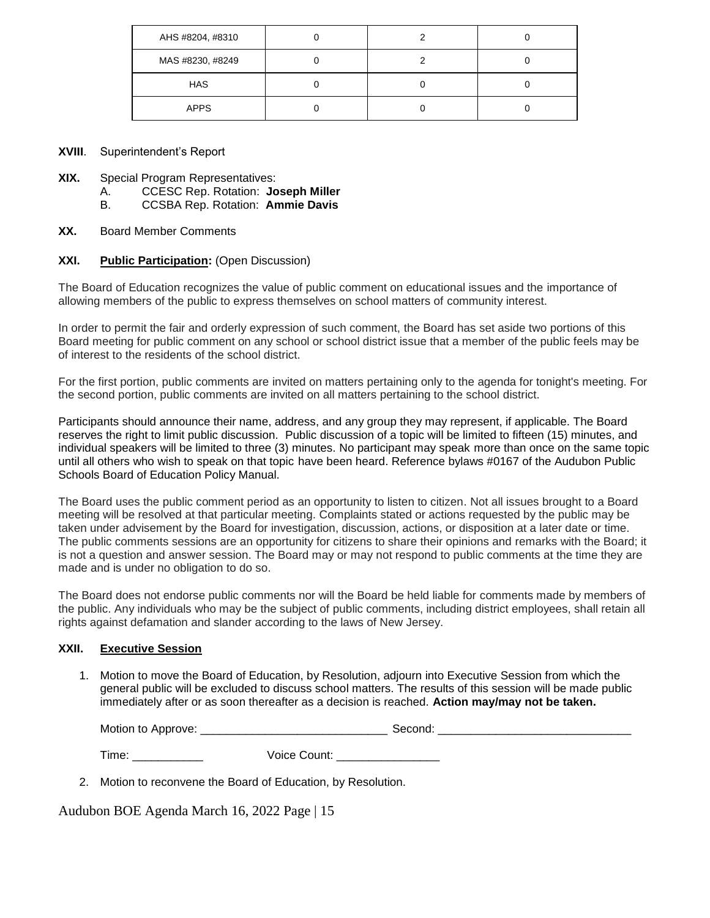| AHS #8204, #8310 |  |  |
|------------------|--|--|
| MAS #8230, #8249 |  |  |
| <b>HAS</b>       |  |  |
| <b>APPS</b>      |  |  |

## **XVIII**. Superintendent's Report

- **XIX.** Special Program Representatives:
	- A. CCESC Rep. Rotation: **Joseph Miller**
	- B. CCSBA Rep. Rotation: **Ammie Davis**
- **XX.** Board Member Comments

## **XXI. Public Participation:** (Open Discussion)

The Board of Education recognizes the value of public comment on educational issues and the importance of allowing members of the public to express themselves on school matters of community interest.

In order to permit the fair and orderly expression of such comment, the Board has set aside two portions of this Board meeting for public comment on any school or school district issue that a member of the public feels may be of interest to the residents of the school district.

For the first portion, public comments are invited on matters pertaining only to the agenda for tonight's meeting. For the second portion, public comments are invited on all matters pertaining to the school district.

Participants should announce their name, address, and any group they may represent, if applicable. The Board reserves the right to limit public discussion. Public discussion of a topic will be limited to fifteen (15) minutes, and individual speakers will be limited to three (3) minutes. No participant may speak more than once on the same topic until all others who wish to speak on that topic have been heard. Reference bylaws #0167 of the Audubon Public Schools Board of Education Policy Manual.

The Board uses the public comment period as an opportunity to listen to citizen. Not all issues brought to a Board meeting will be resolved at that particular meeting. Complaints stated or actions requested by the public may be taken under advisement by the Board for investigation, discussion, actions, or disposition at a later date or time. The public comments sessions are an opportunity for citizens to share their opinions and remarks with the Board; it is not a question and answer session. The Board may or may not respond to public comments at the time they are made and is under no obligation to do so.

The Board does not endorse public comments nor will the Board be held liable for comments made by members of the public. Any individuals who may be the subject of public comments, including district employees, shall retain all rights against defamation and slander according to the laws of New Jersey.

#### **XXII. Executive Session**

1. Motion to move the Board of Education, by Resolution, adjourn into Executive Session from which the general public will be excluded to discuss school matters. The results of this session will be made public immediately after or as soon thereafter as a decision is reached. **Action may/may not be taken.**

Motion to Approve: the condition of  $\mathcal{L}$  and  $\mathcal{L}$  second:  $\mathcal{L}$  second:  $\mathcal{L}$ 

Time: \_\_\_\_\_\_\_\_\_\_\_ Voice Count: \_\_\_\_\_\_\_\_\_\_\_\_\_\_\_\_

2. Motion to reconvene the Board of Education, by Resolution.